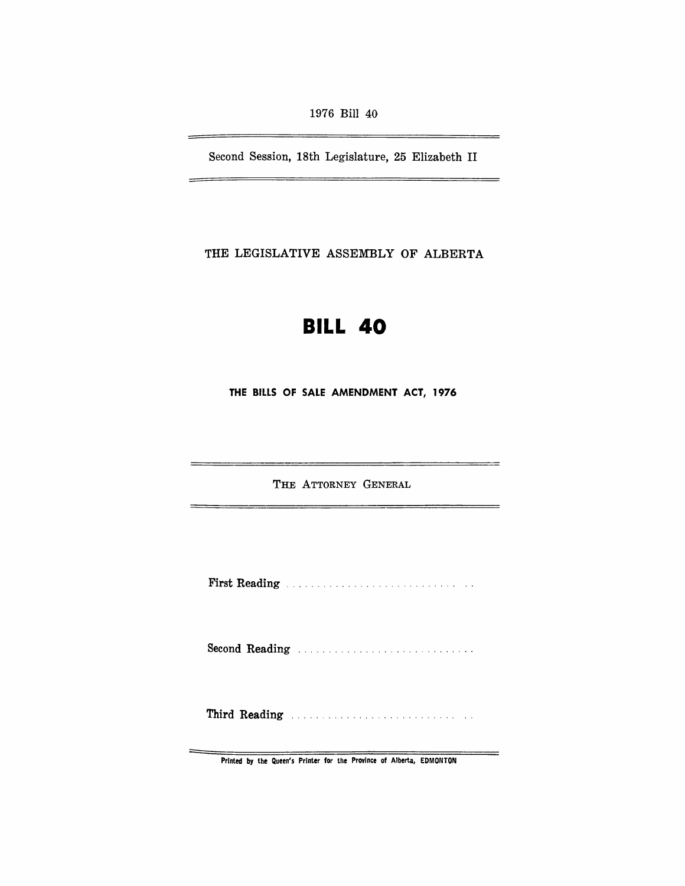1976 Bill 40

Second Session, 18th Legislature, 25 Elizabeth II

THE LEGISLATIVE ASSEMBLY OF ALBERTA

# **BILL 40**

THE BILLS OF SALE AMENDMENT ACT, 1976

THE ATTORNEY GENERAL

 $\overline{\phantom{0}}$ 

First Reading

Second Reading ............................ .

Third Reading ........................... ..

Printed by the Queen's Printer for the Province of Alberta, EDMONTON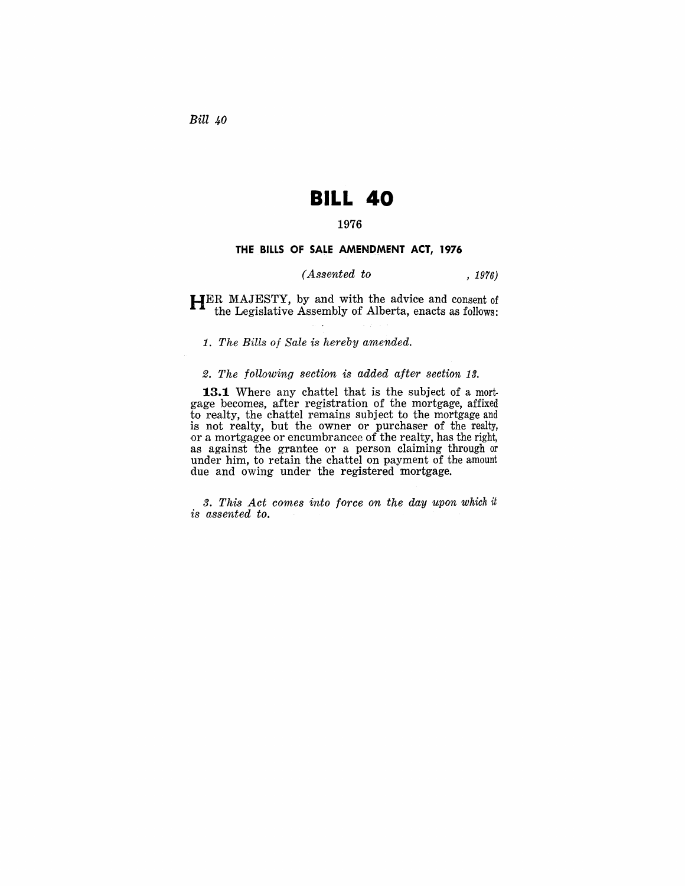*Bill 40* 

# **BILL 40**

### 1976

#### **THE BILLS OF SALE AMENDMENT ACT, 1976**

#### *(Assented to* , 1976)

HER MAJESTY, by and with the advice and consent of the Legislative Assembly of Alberta, enacts as follows:

1. *The Bills of Sale is hereby amended.* 

#### 2. *The following section* is *added after section 13.*

13.1 Where any chattel that is the subject of a mortgage becomes, after registration of the mortgage, affixed to realty, the chattel remains subject to the mortgage and is not realty, but the owner or purchaser of the realty, or a mortgagee or encumbrancee of the realty, has the right, as against the grantee or a person claiming through or under him, to retain the chattel on payment of the amount due and owing under the registered mortgage.

*3. This Act comes into force on the day upon* which it *is assented to.*